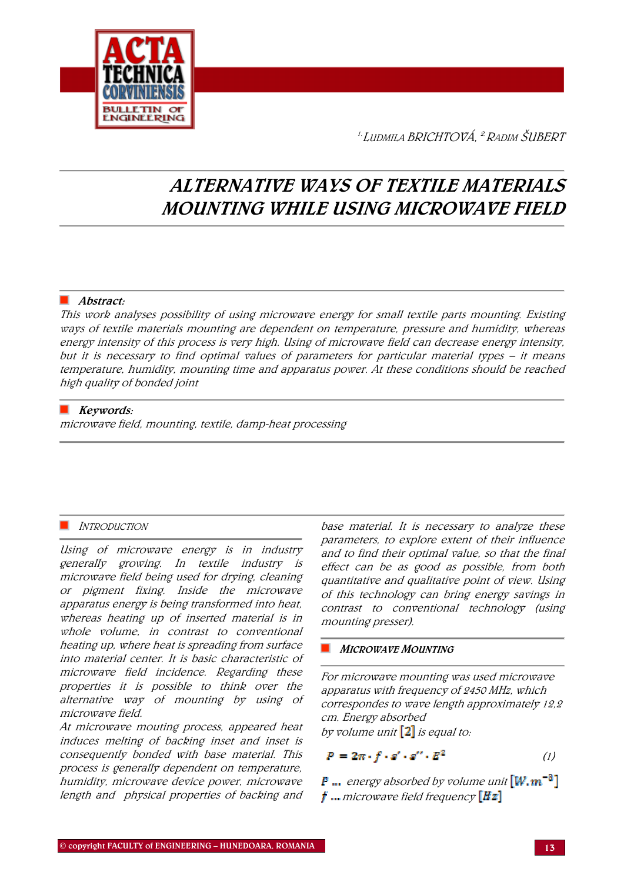

<sup>1.</sup> Ludmila BRICHTOVÁ, <sup>2.</sup> Radim ŠUBERT

# ALTERNATIVE WAYS OF TEXTILE MATERIALS MOUNTING WHILE USING MICROWAVE FIELD

#### ■ Abstract:

This work analyses possibility of using microwave energy for small textile parts mounting. Existing ways of textile materials mounting are dependent on temperature, pressure and humidity, whereas energy intensity of this process is very high. Using of microwave field can decrease energy intensity, but it is necessary to find optimal values of parameters for particular material types – it means temperature, humidity, mounting time and apparatus power. At these conditions should be reached high quality of bonded joint

# $\blacksquare$  Keywords:

microwave field, mounting, textile, damp-heat processing

# INTRODUCTION

Using of microwave energy is in industry generally growing. In textile industry is microwave field being used for drying, cleaning or pigment fixing. Inside the microwave apparatus energy is being transformed into heat, whereas heating up of inserted material is in whole volume, in contrast to conventional heating up, where heat is spreading from surface into material center. It is basic characteristic of microwave field incidence. Regarding these properties it is possible to think over the alternative way of mounting by using of microwave field.

At microwave mouting process, appeared heat induces melting of backing inset and inset is consequently bonded with base material. This process is generally dependent on temperature, humidity, microwave device power, microwave length and physical properties of backing and

base material. It is necessary to analyze these parameters, to explore extent of their influence and to find their optimal value, so that the final effect can be as good as possible, from both quantitative and qualitative point of view. Using of this technology can bring energy savings in contrast to conventional technology (using mounting presser).

#### **MICROWAVE MOUNTING**

For microwave mounting was used microwave apparatus with frequency of 2450 MHz, which correspondes to wave length approximately 12,2 cm. Energy absorbed by volume unit  $\left[2\right]$  is equal to:

$$
P = 2\pi \cdot f \cdot s' \cdot s'' \cdot E^2 \qquad (1)
$$

**P** ... energy absorbed by volume unit  $[W,m^{-3}]$  $\boldsymbol{t}$  ... microwave field frequency  $\boldsymbol{Hz}$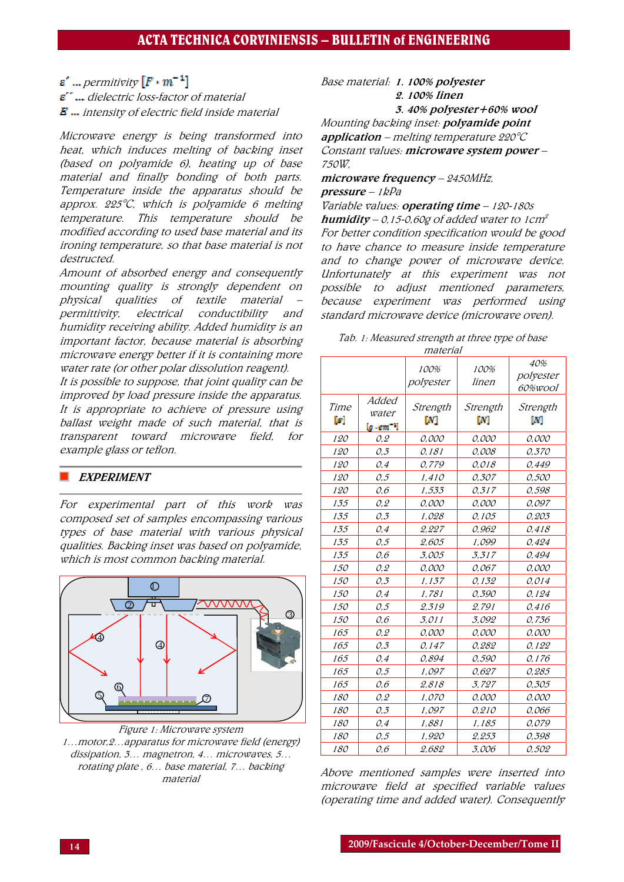$\mathbf{s}'$  ... permitivity  $[F \cdot m^{-1}]$ 

 $\boldsymbol{\varepsilon}^*$  ... dielectric loss-factor of material  $\bm{E}$  ... intensity of electric field inside material

Microwave energy is being transformed into heat, which induces melting of backing inset (based on polyamide 6), heating up of base material and finally bonding of both parts. Temperature inside the apparatus should be approx.  $225^{\circ}$ C, which is polyamide 6 melting temperature. This temperature should be modified according to used base material and its ironing temperature, so that base material is not destructed.

Amount of absorbed energy and consequently mounting quality is strongly dependent on physical qualities of textile material – permittivity, electrical conductibility and humidity receiving ability. Added humidity is an important factor, because material is absorbing microwave energy better if it is containing more water rate (or other polar dissolution reagent).

It is possible to suppose, that joint quality can be improved by load pressure inside the apparatus. It is appropriate to achieve of pressure using ballast weight made of such material, that is transparent toward microwave field, for example glass or teflon.

# **EXPERIMENT**

For experimental part of this work was composed set of samples encompassing various types of base material with various physical qualities. Backing inset was based on polyamide, which is most common backing material.



Figure 1: Microwave system 1…motor,2…apparatus for microwave field (energy) dissipation, 3… magnetron, 4… microwaves, 5… rotating plate , 6… base material, 7… backing material

# Base material: 1. 100% polyester 2. 100% linen

3. 40% polyester+60% wool

Mounting backing inset: polyamide point application – melting temperature  $220^{\circ}C$ Constant values: microwave system power -750W,

microwave frequency – 2450MHz, pressure – 1kPa

Variable values: operating time - 120-180s **humidity** – 0,15-0,60g of added water to 1cm<sup>2</sup> For better condition specification would be good to have chance to measure inside temperature and to change power of microwave device. Unfortunately at this experiment was not possible to adjust mentioned parameters, because experiment was performed using standard microwave device (microwave oven).

| Tab. 1: Measured strength at three type of base |  |
|-------------------------------------------------|--|
| material                                        |  |

|            |                              | 100%<br>polyester | 100%<br>linen | 40%<br>polyester<br><i>60%wool</i> |
|------------|------------------------------|-------------------|---------------|------------------------------------|
| Time<br>D. | Added<br>water<br>[g - em "] | Strength<br>M     | Strength<br>W | Strength<br>W                      |
| 120        | 0,2                          | 0,000             | 0,000         | 0,000                              |
| 120        | O, 3                         | 0,181             | 0.008         | 0.370                              |
| 120        | 0,4                          | 0,779             | 0,018         | 0.449                              |
| <i>120</i> | 0,5                          | 1,410             | 0,307         | 0,500                              |
| 120        | 0,6                          | 1,533             | 0,317         | 0,598                              |
| 135        | 0,2                          | 0,000             | 0,000         | 0,097                              |
| 135        | 0,3                          | 1,028             | 0,105         | 0,203                              |
| 135        | 0,4                          | 2,227             | 0,962         | 0,418                              |
| 135        | 0,5                          | 2,605             | 1,099         | 0,424                              |
| 135        | 0,6                          | 3,005             | 3,317         | 0,494                              |
| 150        | 0,2                          | 0,000             | 0,067         | 0.000                              |
| 150        | 0,3                          | 1,137             | 0,132         | 0,014                              |
| 150        | 0,4                          | 1,781             | 0,390         | 0,124                              |
| 150        | 0,5                          | 2,319             | 2,791         | 0,416                              |
| 150        | 0,6                          | 3.011             | 3.092         | 0,736                              |
| 165        | 0,2                          | 0,000             | 0,000         | 0,000                              |
| 165        | O, 3                         | 0,147             | 0,282         | 0,122                              |
| 165        | 0,4                          | 0,894             | 0,590         | 0,176                              |
| 165        | 0,5                          | 1,097             | 0,627         | 0,285                              |
| 165        | 0,6                          | 2,818             | 3,727         | 0,305                              |
| 180        | 0,2                          | 1.070             | 0.000         | 0.000                              |
| 180        | O.3                          | 1,097             | 0,210         | 0.066                              |
| 180        | 0,4                          | 1,881             | 1,185         | 0,079                              |
| 180        | 0,5                          | 1,920             | 2,253         | 0,398                              |
| 180        | 0,6                          | 2,682             | 3,006         | 0,502                              |

Above mentioned samples were inserted into microwave field at specified variable values (operating time and added water). Consequently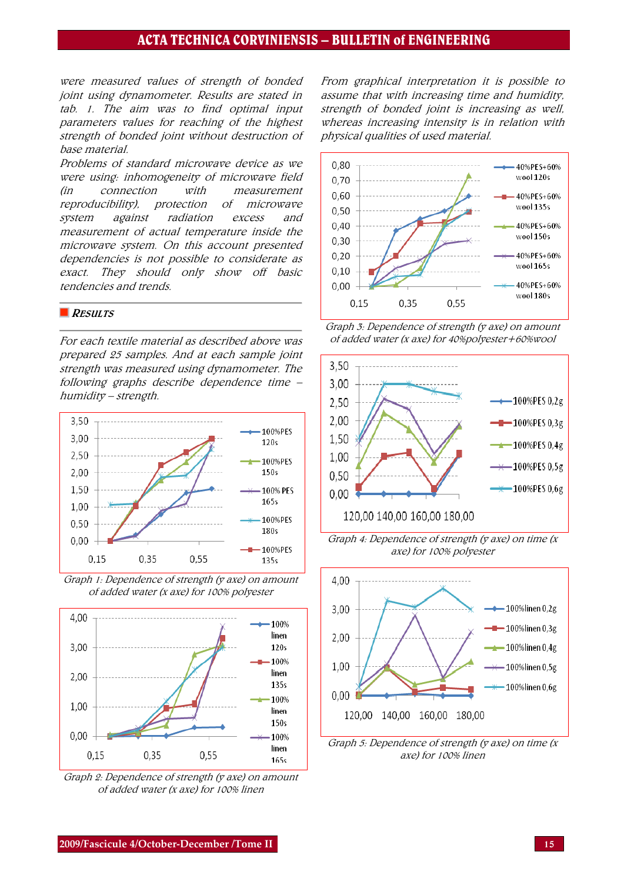# ACTA TECHNICA CORVINIENSIS – BULLETIN of ENGINEERING

were measured values of strength of bonded joint using dynamometer. Results are stated in tab. 1. The aim was to find optimal input parameters values for reaching of the highest strength of bonded joint without destruction of base material.

Problems of standard microwave device as we were using: inhomogeneity of microwave field (in connection with measurement reproducibility), protection of microwave system against radiation excess and measurement of actual temperature inside the microwave system. On this account presented dependencies is not possible to considerate as exact. They should only show off basic tendencies and trends.

#### RESULTS

For each textile material as described above was prepared 25 samples. And at each sample joint strength was measured using dynamometer. The following graphs describe dependence time – humidity – strength.







Graph 2: Dependence of strength (y axe) on amount of added water (x axe) for 100% linen

From graphical interpretation it is possible to assume that with increasing time and humidity, strength of bonded joint is increasing as well, whereas increasing intensity is in relation with physical qualities of used material.







Graph 4: Dependence of strength ( $y$  axe) on time ( $x$ axe) for 100% polyester



Graph 5: Dependence of strength ( $\gamma$  axe) on time ( $x$ axe) for 100% linen